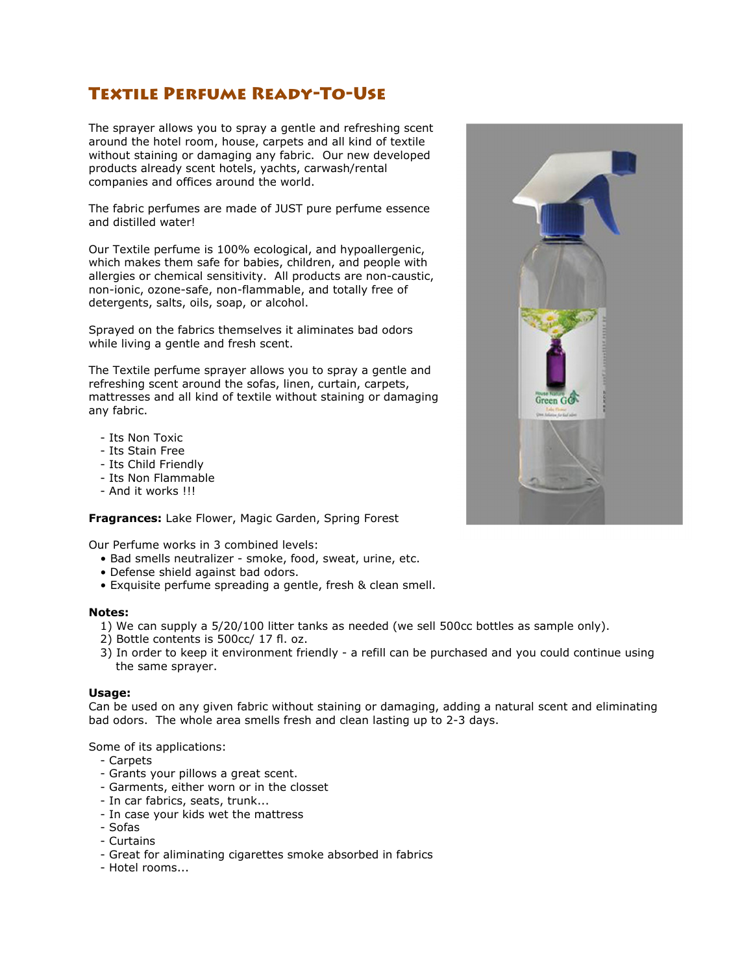## Textile Perfume Ready-To-Use

The sprayer allows you to spray a gentle and refreshing scent around the hotel room, house, carpets and all kind of textile without staining or damaging any fabric. Our new developed products already scent hotels, yachts, carwash/rental companies and offices around the world.

The fabric perfumes are made of JUST pure perfume essence and distilled water!

Our Textile perfume is 100% ecological, and hypoallergenic, which makes them safe for babies, children, and people with allergies or chemical sensitivity. All products are non-caustic, non-ionic, ozone-safe, non-flammable, and totally free of detergents, salts, oils, soap, or alcohol.

Sprayed on the fabrics themselves it aliminates bad odors while living a gentle and fresh scent.

The Textile perfume sprayer allows you to spray a gentle and refreshing scent around the sofas, linen, curtain, carpets, mattresses and all kind of textile without staining or damaging any fabric.

- Its Non Toxic
- Its Stain Free
- Its Child Friendly
- Its Non Flammable
- And it works !!!

**Fragrances:** Lake Flower, Magic Garden, Spring Forest

Our Perfume works in 3 combined levels:

- Bad smells neutralizer smoke, food, sweat, urine, etc.
- Defense shield against bad odors.
- Exquisite perfume spreading a gentle, fresh & clean smell.

## **Notes:**

- 1) We can supply a 5/20/100 litter tanks as needed (we sell 500cc bottles as sample only).
- 2) Bottle contents is 500cc/ 17 fl. oz.
- 3) In order to keep it environment friendly a refill can be purchased and you could continue using the same sprayer.

## **Usage:**

Can be used on any given fabric without staining or damaging, adding a natural scent and eliminating bad odors. The whole area smells fresh and clean lasting up to 2-3 days.

Some of its applications:

- Carpets
- Grants your pillows a great scent.
- Garments, either worn or in the closset
- In car fabrics, seats, trunk...
- In case your kids wet the mattress
- Sofas
- Curtains
- Great for aliminating cigarettes smoke absorbed in fabrics
- Hotel rooms...